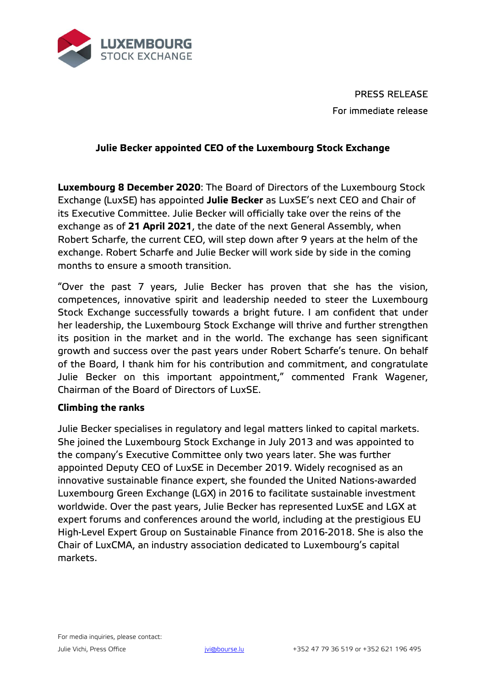

PRESS RELEASE For immediate release

## **Julie Becker appointed CEO of the Luxembourg Stock Exchange**

**Luxembourg 8 December 2020**: The Board of Directors of the Luxembourg Stock Exchange (LuxSE) has appointed **Julie Becker** as LuxSE's next CEO and Chair of its Executive Committee. Julie Becker will officially take over the reins of the exchange as of **21 April 2021**, the date of the next General Assembly, when Robert Scharfe, the current CEO, will step down after 9 years at the helm of the exchange. Robert Scharfe and Julie Becker will work side by side in the coming months to ensure a smooth transition.

"Over the past 7 years, Julie Becker has proven that she has the vision, competences, innovative spirit and leadership needed to steer the Luxembourg Stock Exchange successfully towards a bright future. I am confident that under her leadership, the Luxembourg Stock Exchange will thrive and further strengthen its position in the market and in the world. The exchange has seen significant growth and success over the past years under Robert Scharfe's tenure. On behalf of the Board, I thank him for his contribution and commitment, and congratulate Julie Becker on this important appointment," commented Frank Wagener, Chairman of the Board of Directors of LuxSE.

## **Climbing the ranks**

Julie Becker specialises in regulatory and legal matters linked to capital markets. She joined the Luxembourg Stock Exchange in July 2013 and was appointed to the company's Executive Committee only two years later. She was further appointed Deputy CEO of LuxSE in December 2019. Widely recognised as an innovative sustainable finance expert, she founded the United Nations-awarded Luxembourg Green Exchange (LGX) in 2016 to facilitate sustainable investment worldwide. Over the past years, Julie Becker has represented LuxSE and LGX at expert forums and conferences around the world, including at the prestigious EU High-Level Expert Group on Sustainable Finance from 2016-2018. She is also the Chair of LuxCMA, an industry association dedicated to Luxembourg's capital markets.